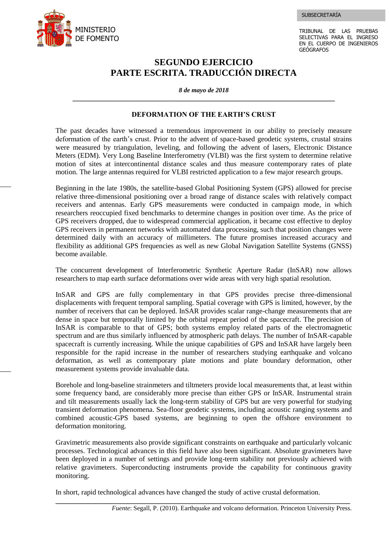

TRIBUNAL DE LAS PRUEBAS SELECTIVAS PARA EL INGRESO EN EL CUERPO DE INGENIEROS GEÓGRAFOS

## **SEGUNDO EJERCICIO PARTE ESCRITA. TRADUCCIÓN DIRECTA**

*8 de mayo de 2018* **\_\_\_\_\_\_\_\_\_\_\_\_\_\_\_\_\_\_\_\_\_\_\_\_\_\_\_\_\_\_\_\_\_\_\_\_\_\_\_\_\_\_\_\_\_\_\_\_\_\_\_\_\_\_\_\_\_\_\_\_\_\_\_\_\_\_\_\_\_\_\_\_\_**

## **DEFORMATION OF THE EARTH'S CRUST**

The past decades have witnessed a tremendous improvement in our ability to precisely measure deformation of the earth's crust. Prior to the advent of space-based geodetic systems, crustal strains were measured by triangulation, leveling, and following the advent of lasers, Electronic Distance Meters (EDM). Very Long Baseline Interferometry (VLBI) was the first system to determine relative motion of sites at intercontinental distance scales and thus measure contemporary rates of plate motion. The large antennas required for VLBI restricted application to a few major research groups.

Beginning in the late 1980s, the satellite-based Global Positioning System (GPS) allowed for precise relative three-dimensional positioning over a broad range of distance scales with relatively compact receivers and antennas. Early GPS measurements were conducted in campaign mode, in which researchers reoccupied fixed benchmarks to determine changes in position over time. As the price of GPS receivers dropped, due to widespread commercial application, it became cost effective to deploy GPS receivers in permanent networks with automated data processing, such that position changes were determined daily with an accuracy of millimeters. The future promises increased accuracy and flexibility as additional GPS frequencies as well as new Global Navigation Satellite Systems (GNSS) become available.

The concurrent development of Interferometric Synthetic Aperture Radar (InSAR) now allows researchers to map earth surface deformations over wide areas with very high spatial resolution.

InSAR and GPS are fully complementary in that GPS provides precise three-dimensional displacements with frequent temporal sampling. Spatial coverage with GPS is limited, however, by the number of receivers that can be deployed. InSAR provides scalar range-change measurements that are dense in space but temporally limited by the orbital repeat period of the spacecraft. The precision of InSAR is comparable to that of GPS; both systems employ related parts of the electromagnetic spectrum and are thus similarly influenced by atmospheric path delays. The number of InSAR-capable spacecraft is currently increasing. While the unique capabilities of GPS and InSAR have largely been responsible for the rapid increase in the number of researchers studying earthquake and volcano deformation, as well as contemporary plate motions and plate boundary deformation, other measurement systems provide invaluable data.

Borehole and long-baseline strainmeters and tiltmeters provide local measurements that, at least within some frequency band, are considerably more precise than either GPS or InSAR. Instrumental strain and tilt measurements usually lack the long-term stability of GPS but are very powerful for studying transient deformation phenomena. Sea-floor geodetic systems, including acoustic ranging systems and combined acoustic-GPS based systems, are beginning to open the offshore environment to deformation monitoring.

Gravimetric measurements also provide significant constraints on earthquake and particularly volcanic processes. Technological advances in this field have also been significant. Absolute gravimeters have been deployed in a number of settings and provide long-term stability not previously achieved with relative gravimeters. Superconducting instruments provide the capability for continuous gravity monitoring.

**\_\_\_\_\_\_\_\_\_\_\_\_\_\_\_\_\_\_\_\_\_\_\_\_\_\_\_\_\_\_\_\_\_\_\_\_\_\_\_\_\_\_\_\_\_\_\_\_\_\_\_\_\_\_\_\_\_\_\_\_\_\_\_\_\_\_\_\_\_\_\_\_\_\_\_\_\_\_\_\_\_\_**

In short, rapid technological advances have changed the study of active crustal deformation.